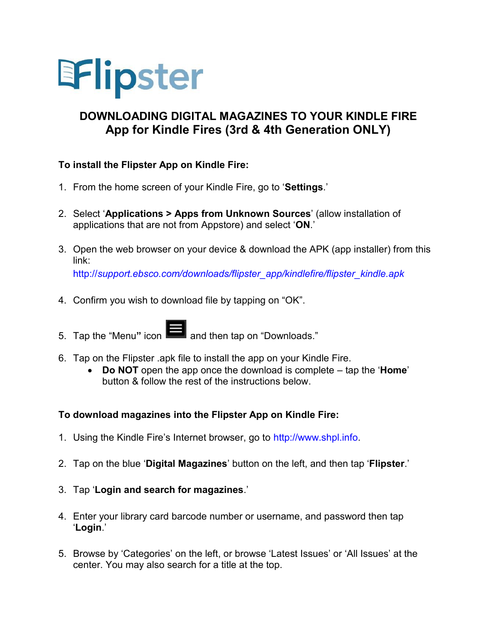

## **DOWNLOADING DIGITAL MAGAZINES TO YOUR KINDLE FIRE App for Kindle Fires (3rd & 4th Generation ONLY)**

## **To install the Flipster App on Kindle Fire:**

- 1. From the home screen of your Kindle Fire, go to '**Settings**.'
- 2. Select '**Applications > Apps from Unknown Sources**' (allow installation of applications that are not from Appstore) and select '**ON**.'
- 3. Open the web browser on your device & download the APK (app installer) from this link: http://*[support.ebsco.com/downloads/flipster\\_app/kindlefire/flipster\\_kindle.apk](http://support.ebsco.com/downloads/flipster_app/kindlefire/flipster_kindle.apk)*
- 4. Confirm you wish to download file by tapping on "OK".
- 5. Tap the "Menu" icon **3.** and then tap on "Downloads."
- 6. Tap on the Flipster .apk file to install the app on your Kindle Fire.
	- **Do NOT** open the app once the download is complete tap the '**Home**' button & follow the rest of the instructions below.

## **To download magazines into the Flipster App on Kindle Fire:**

- 1. Using the Kindle Fire's Internet browser, go to [http://www.shpl.info.](http://www.shpl.info/)
- 2. Tap on the blue '**Digital Magazines**' button on the left, and then tap '**Flipster**.'
- 3. Tap '**Login and search for magazines**.'
- 4. Enter your library card barcode number or username, and password then tap '**Login**.'
- 5. Browse by 'Categories' on the left, or browse 'Latest Issues' or 'All Issues' at the center. You may also search for a title at the top.